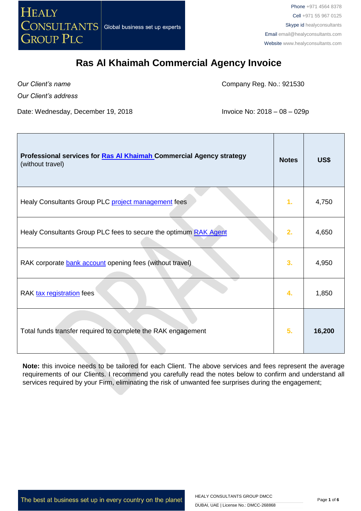

Phone +971 4564 8378 Cell +971 55 967 0125 Skype id healyconsultants Email [email@healyconsultants.com](mailto:EMAIL@HEALYCONSULTANTS.COM) Website [www.healyconsultants.com](http://www.healyconsultants.com/)

## **Ras Al Khaimah Commercial Agency Invoice**

*Our Client's name Our Client's address*

 $\overline{\phantom{a}}$ 

Company Reg. No.: 921530

Date: Wednesday, December 19, 2018 **Invoice No: 2018** - 08 - 029p

| Professional services for Ras Al Khaimah Commercial Agency strategy<br>(without travel) | <b>Notes</b> | US\$   |
|-----------------------------------------------------------------------------------------|--------------|--------|
| Healy Consultants Group PLC project management fees                                     | 1.           | 4,750  |
| Healy Consultants Group PLC fees to secure the optimum RAK Agent                        | 2.           | 4,650  |
| RAK corporate bank account opening fees (without travel)                                | 3.           | 4,950  |
| RAK tax registration fees                                                               | 4.           | 1,850  |
| Total funds transfer required to complete the RAK engagement                            | 5.           | 16,200 |

**Note:** this invoice needs to be tailored for each Client. The above services and fees represent the average requirements of our Clients. I recommend you carefully read the notes below to confirm and understand all services required by your Firm, eliminating the risk of unwanted fee surprises during the engagement;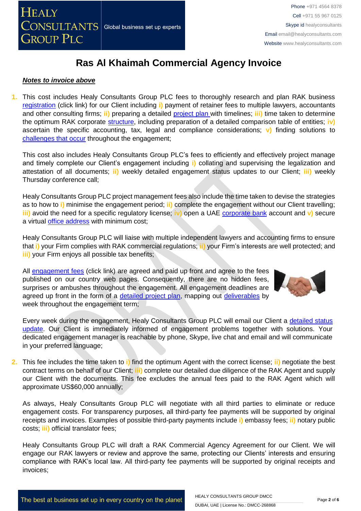

### *Notes to invoice above*

**1.** This cost includes Healy Consultants Group PLC fees to thoroughly research and plan RAK business [registration](https://www.healyconsultants.com/middle-east-incorporation/uae-emirates-comparisons/) (click link) for our Client including **i)** payment of retainer fees to multiple lawyers, accountants and other consulting firms; **ii)** preparing a detailed [project plan w](http://www.healyconsultants.com/index-important-links/example-project-plan/)ith timelines; **iii)** time taken to determine the optimum RAK corporate [structure,](https://www.healyconsultants.com/middle-east-incorporation/uae-emirates-comparisons/) including preparation of a detailed comparison table of entities; **iv)** ascertain the specific accounting, tax, legal and compliance considerations; **v)** finding solutions to [challenges that occur](http://www.healyconsultants.com/engagement-project-management/) throughout the engagement;

This cost also includes Healy Consultants Group PLC's fees to efficiently and effectively project manage and timely complete our Client's engagement including **i)** collating and supervising the legalization and attestation of all documents; **ii)** weekly detailed engagement status updates to our Client; **iii)** weekly Thursday conference call;

Healy Consultants Group PLC project management fees also include the time taken to devise the strategies as to how to **i)** minimise the engagement period; **ii)** complete the engagement without our Client travelling; **iii)** avoid the need for a specific regulatory license; **iv)** open a UAE [corporate bank](https://www.healyconsultants.com/middle-east-incorporation/banking-options/) account and **v)** secure a virtual [office address](http://www.healyconsultants.com/corporate-advisory-services/virtual-office/) with minimum cost;

Healy Consultants Group PLC will liaise with multiple independent lawyers and accounting firms to ensure that **i)** your Firm complies with RAK commercial regulations; **ii)** your Firm's interests are well protected; and **iii)** your Firm enjoys all possible tax benefits;

All [engagement fees](http://www.healyconsultants.com/company-registration-fees/) (click link) are agreed and paid up front and agree to the fees published on our country web pages. Consequently, there are no hidden fees, surprises or ambushes throughout the engagement. All engagement deadlines are agreed up front in the form of a [detailed project plan,](http://www.healyconsultants.com/index-important-links/example-project-plan/) mapping out [deliverables](http://www.healyconsultants.com/deliverables-to-our-clients/) by week throughout the engagement term;



Every week during the engagement, Healy Consultants Group PLC will email our Client a [detailed status](http://www.healyconsultants.com/index-important-links/weekly-engagement-status-email/)  [update.](http://www.healyconsultants.com/index-important-links/weekly-engagement-status-email/) Our Client is immediately informed of engagement problems together with solutions. Your dedicated engagement manager is reachable by phone, Skype, live chat and email and will communicate in your preferred language;

**2.** This fee includes the time taken to **i)** find the optimum Agent with the correct license; **ii)** negotiate the best contract terms on behalf of our Client; **iii)** complete our detailed due diligence of the RAK Agent and supply our Client with the documents. This fee excludes the annual fees paid to the RAK Agent which will approximate US\$60,000 annually;

As always, Healy Consultants Group PLC will negotiate with all third parties to eliminate or reduce engagement costs. For transparency purposes, all third-party fee payments will be supported by original receipts and invoices. Examples of possible third-party payments include **i)** embassy fees; **ii)** notary public costs; **iii)** official translator fees;

Healy Consultants Group PLC will draft a RAK Commercial Agency Agreement for our Client. We will engage our RAK lawyers or review and approve the same, protecting our Clients' interests and ensuring compliance with RAK's local law. All third-party fee payments will be supported by original receipts and invoices;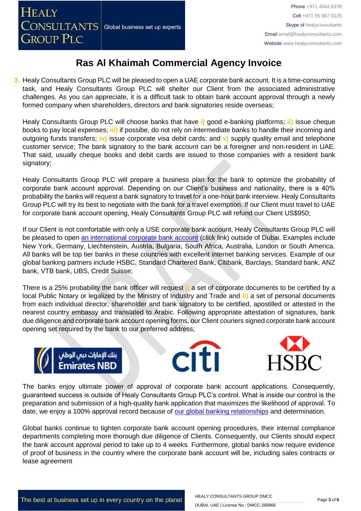**3.** Healy Consultants Group PLC will be pleased to open a UAE corporate bank account. It is a time-consuming task, and Healy Consultants Group PLC will shelter our Client from the associated administrative challenges. As you can appreciate, it is a difficult task to obtain bank account approval through a newly formed company when shareholders, directors and bank signatories reside overseas;

Healy Consultants Group PLC will choose banks that have **i)** good e-banking platforms; **ii)** issue cheque books to pay local expenses; **iii)** if possibe, do not rely on intermediate banks to handle their incoming and outgoing funds transfers; **iv)** issue corporate visa debit cards; and **v)** supply quality email and telephone customer service; The bank signatory to the bank account can be a foreigner and non-resident in UAE. That said, usually cheque books and debit cards are issued to those companies with a resident bank signatory;

Healy Consultants Group PLC will prepare a business plan for the bank to optimize the probability of corporate bank account approval. Depending on our Client's business and nationality, there is a 40% probability the banks will request a bank signatory to travel for a one-hour bank interview. Healy Consultants Group PLC will try its best to negotiate with the bank for a travel exemption. If our Client must travel to UAE for corporate bank account opening, Healy Consultants Group PLC will refund our Client US\$950;

If our Client is not comfortable with only a USE corporate bank account, Healy Consultants Group PLC will be pleased to open [an international corporate bank account](http://www.healyconsultants.com/international-banking/) (click link) outside of Dubai. Examples include New York, Germany, Liechtenstein, Austria, Bulgaria, South Africa, Australia, London or South America. All banks will be top tier banks in these countries with excellent internet banking services. Example of our global banking partners include HSBC, Standard Chartered Bank, Citibank, Barclays, Standard bank, ANZ bank, VTB bank, UBS, Credit Suisse;

There is a 25% probability the bank officer will request **i)** a set of corporate documents to be certified by a local Public Notary or legalized by the Ministry of Industry and Trade and **ii)** a set of personal documents from each individual director, shareholder and bank signatory to be certified, apostilled or attested in the nearest country embassy and translated to Arabic. Following appropriate attestation of signatures, bank due diligence and corporate bank account opening forms, our Client couriers signed corporate bank account opening set required by the bank to our preferred address;







The banks enjoy ultimate power of approval of corporate bank account applications. Consequently, guaranteed success is outside of Healy Consultants Group PLC's control. What is inside our control is the preparation and submission of a high-quality bank application that maximizes the likelihood of approval. To date, we enjoy a 100% approval record because of [our global banking relationships](http://www.healyconsultants.com/international-banking/corporate-accounts/) and determination.

Global banks continue to tighten corporate bank account opening procedures, their internal compliance departments completing more thorough due diligence of Clients. Consequently, our Clients should expect the bank account approval period to take up to 4 weeks. Furthermore, global banks now require evidence of proof of business in the country where the corporate bank account will be, including sales contracts or lease agreement

The best at business set up in every country on the planet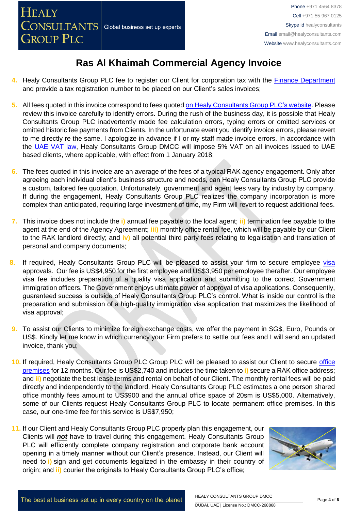- **4.** Healy Consultants Group PLC fee to register our Client for corporation tax with the [Finance Department](http://finance.rak.ae/en/pages/default.aspx) and provide a tax registration number to be placed on our Client's sales invoices;
- **5.** All fees quoted in this invoice correspond to fees quoted [on Healy Consultants Group PLC's website.](http://www.healyconsultants.com/company-registration-fees/) Please review this invoice carefully to identify errors. During the rush of the business day, it is possible that Healy Consultants Group PLC inadvertently made fee calculation errors, typing errors or omitted services or omitted historic fee payments from Clients. In the unfortunate event you identify invoice errors, please revert to me directly re the same. I apologize in advance if I or my staff made invoice errors. In accordance with the [UAE VAT law,](https://www.tax.gov.ae/legislation.aspx) Healy Consultants Group DMCC will impose 5% VAT on all invoices issued to UAE based clients, where applicable, with effect from 1 January 2018;
- **6.** The fees quoted in this invoice are an average of the fees of a typical RAK agency engagement. Only after agreeing each individual client's business structure and needs, can Healy Consultants Group PLC provide a custom, tailored fee quotation. Unfortunately, government and agent fees vary by industry by company. If during the engagement, Healy Consultants Group PLC realizes the company incorporation is more complex than anticipated, requiring large investment of time, my Firm will revert to request additional fees.
- **7.** This invoice does not include the **i)** annual fee payable to the local agent; **ii)** termination fee payable to the agent at the end of the Agency Agreement; **iii)** monthly office rental fee, which will be payable by our Client to the RAK landlord directly; and **iv)** all potential third party fees relating to legalisation and translation of personal and company documents;
- 8. If required, Healy Consultants Group PLC will be pleased to assist your firm to secure employee visa approvals. Our fee is US\$4,950 for the first employee and US\$3,950 per employee therafter. Our employee visa fee includes preparation of a quality visa application and submitting to the correct Government immigration officers. The Government enjoys ultimate power of approval of visa applications. Consequently, guaranteed success is outside of Healy Consultants Group PLC's control. What is inside our control is the preparation and submission of a high-quality immigration visa application that maximizes the likelihood of visa approval;
- **9.** To assist our Clients to minimize foreign exchange costs, we offer the payment in SG\$, Euro, Pounds or US\$. Kindly let me know in which currency your Firm prefers to settle our fees and I will send an updated invoice, thank you;
- **10.** If required, Healy Consultants Group PLC Group PLC will be pleased to assist our Client to secure [office](http://www.healyconsultants.com/virtual-office/)  [premises](http://www.healyconsultants.com/virtual-office/) for 12 months. Our fee is US\$2,740 and includes the time taken to **i)** secure a RAK office address; and **ii)** negotiate the best lease terms and rental on behalf of our Client. The monthly rental fees will be paid directly and indenpendently to the landlord. Healy Consultants Group PLC estimates a one person shared office monthly fees amount to US\$900 and the annual office space of 20sm is US\$5,000. Alternatively, some of our Clients request Healy Consultants Group PLC to locate permanent office premises. In this case, our one-time fee for this service is US\$7,950;
- **11.** If our Client and Healy Consultants Group PLC properly plan this engagement, our Clients will *not* have to travel during this engagement. Healy Consultants Group PLC will efficiently complete company registration and corporate bank account opening in a timely manner without our Client's presence. Instead, our Client will need to **i)** sign and get documents legalized in the embassy in their country of origin; and **ii)** courier the originals to Healy Consultants Group PLC's office;



The best at business set up in every country on the planet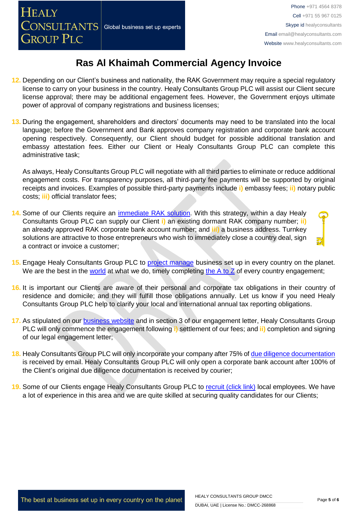- **12.** Depending on our Client's business and nationality, the RAK Government may require a special regulatory license to carry on your business in the country. Healy Consultants Group PLC will assist our Client secure license approval; there may be additional engagement fees. However, the Government enjoys ultimate power of approval of company registrations and business licenses;
- **13.** During the engagement, shareholders and directors' documents may need to be translated into the local language; before the Government and Bank approves company registration and corporate bank account opening respectively. Consequently, our Client should budget for possible additional translation and embassy attestation fees. Either our Client or Healy Consultants Group PLC can complete this administrative task;

As always, Healy Consultants Group PLC will negotiate with all third parties to eliminate or reduce additional engagement costs. For transparency purposes, all third-party fee payments will be supported by original receipts and invoices. Examples of possible third-party payments include **i)** embassy fees; **ii)** notary public costs; **iii)** official translator fees;

- **14.** Some of our Clients require an [immediate RAK](http://www.healyconsultants.com/turnkey-solutions/) solution. With this strategy, within a day Healy Consultants Group PLC can supply our Client **i)** an existing dormant RAK company number; **ii)** an already approved RAK corporate bank account number; and **iii)** a business address. Turnkey solutions are attractive to those entrepreneurs who wish to immediately close a country deal, sign a contract or invoice a customer;
- **15.** Engage Healy Consultants Group PLC to [project manage](http://www.healyconsultants.com/project-manage-engagements/) business set up in every country on the planet. We are the best in the [world](http://www.healyconsultants.com/best-in-the-world/) at what we do, timely completing the  $\overline{A}$  to  $\overline{Z}$  of every country engagement;
- **16.** It is important our Clients are aware of their personal and corporate tax obligations in their country of residence and domicile; and they will fulfill those obligations annually. Let us know if you need Healy Consultants Group PLC help to clarify your local and international annual tax reporting obligations.
- **17.** As stipulated on our [business website](http://www.healyconsultants.com/) and in section 3 of our engagement letter, Healy Consultants Group PLC will only commence the engagement following **i)** settlement of our fees; and **ii)** completion and signing of our legal engagement letter;
- **18.** Healy Consultants Group PLC will only incorporate your company after 75% of [due diligence documentation](http://www.healyconsultants.com/due-diligence/) is received by email. Healy Consultants Group PLC will only open a corporate bank account after 100% of the Client's original due diligence documentation is received by courier;
- 19. Some of our Clients engage Healy Consultants Group PLC to [recruit \(click link\)](http://www.healyconsultants.com/corporate-outsourcing-services/how-we-help-our-clients-recruit-quality-employees/) local employees. We have a lot of experience in this area and we are quite skilled at securing quality candidates for our Clients;